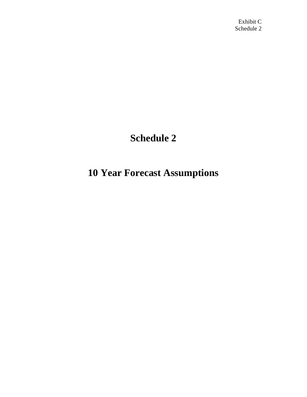## **Schedule 2**

## **10 Year Forecast Assumptions**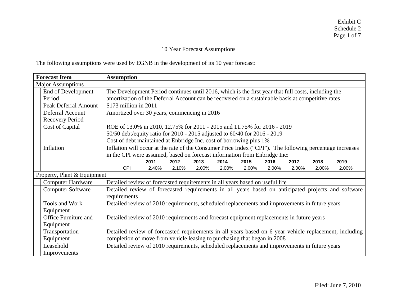## 10 Year Forecast Assumptions

The following assumptions were used by EGNB in the development of its 10 year forecast:

| <b>Forecast Item</b>        | <b>Assumption</b>                                                                                        |                |  |  |  |  |  |  |
|-----------------------------|----------------------------------------------------------------------------------------------------------|----------------|--|--|--|--|--|--|
| <b>Major Assumptions</b>    |                                                                                                          |                |  |  |  |  |  |  |
| End of Development          | The Development Period continues until 2016, which is the first year that full costs, including the      |                |  |  |  |  |  |  |
| Period                      | amortization of the Deferral Account can be recovered on a sustainable basis at competitive rates        |                |  |  |  |  |  |  |
| <b>Peak Deferral Amount</b> | $$173$ million in 2011                                                                                   |                |  |  |  |  |  |  |
| Deferral Account            | Amortized over 30 years, commencing in 2016                                                              |                |  |  |  |  |  |  |
| <b>Recovery Period</b>      |                                                                                                          |                |  |  |  |  |  |  |
| Cost of Capital             | ROE of 13.0% in 2010, 12.75% for 2011 - 2015 and 11.75% for 2016 - 2019                                  |                |  |  |  |  |  |  |
|                             | 50/50 debt/equity ratio for 2010 - 2015 adjusted to 60/40 for 2016 - 2019                                |                |  |  |  |  |  |  |
|                             | Cost of debt maintained at Enbridge Inc. cost of borrowing plus 1%                                       |                |  |  |  |  |  |  |
| Inflation                   | Inflation will occur at the rate of the Consumer Price Index ("CPI"). The following percentage increases |                |  |  |  |  |  |  |
|                             | in the CPI were assumed, based on forecast information from Enbridge Inc:                                |                |  |  |  |  |  |  |
|                             | 2011<br>2012<br>2013<br>2014<br>2015<br>2016<br>2017                                                     | 2019<br>2018   |  |  |  |  |  |  |
|                             | <b>CPI</b><br>2.10%<br>2.00%<br>2.00%<br>2.00%<br>2.00%<br>2.00%<br>2.40%                                | 2.00%<br>2.00% |  |  |  |  |  |  |
| Property, Plant & Equipment |                                                                                                          |                |  |  |  |  |  |  |
| <b>Computer Hardware</b>    | Detailed review of forecasted requirements in all years based on useful life                             |                |  |  |  |  |  |  |
| <b>Computer Software</b>    | Detailed review of forecasted requirements in all years based on anticipated projects and software       |                |  |  |  |  |  |  |
|                             | requirements                                                                                             |                |  |  |  |  |  |  |
| Tools and Work              | Detailed review of 2010 requirements, scheduled replacements and improvements in future years            |                |  |  |  |  |  |  |
| Equipment                   |                                                                                                          |                |  |  |  |  |  |  |
| Office Furniture and        | Detailed review of 2010 requirements and forecast equipment replacements in future years                 |                |  |  |  |  |  |  |
| Equipment                   |                                                                                                          |                |  |  |  |  |  |  |
| Transportation              | Detailed review of forecasted requirements in all years based on 6 year vehicle replacement, including   |                |  |  |  |  |  |  |
| Equipment                   | completion of move from vehicle leasing to purchasing that began in 2008                                 |                |  |  |  |  |  |  |
| Leasehold                   | Detailed review of 2010 requirements, scheduled replacements and improvements in future years            |                |  |  |  |  |  |  |
| Improvements                |                                                                                                          |                |  |  |  |  |  |  |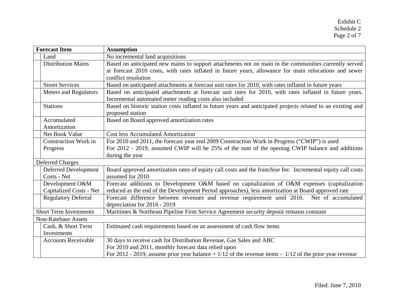|      | <b>Forecast Item</b>          | <b>Assumption</b>                                                                                            |
|------|-------------------------------|--------------------------------------------------------------------------------------------------------------|
| Land |                               | No incremental land acquisitions                                                                             |
|      | <b>Distribution Mains</b>     | Based on anticipated new mains to support attachments not on main in the communities currently served        |
|      |                               | at forecast 2010 costs, with rates inflated in future years, allowance for main relocations and sewer        |
|      |                               | conflict resolution                                                                                          |
|      | <b>Street Services</b>        | Based on anticipated attachments at forecast unit rates for 2010, with rates inflated in future years        |
|      | <b>Meters and Regulators</b>  | Based on anticipated attachments at forecast unit rates for 2010, with rates inflated in future years.       |
|      |                               | Incremental automated meter reading costs also included                                                      |
|      | <b>Stations</b>               | Based on historic station costs inflated in future years and anticipated projects related to an existing and |
|      |                               | proposed station                                                                                             |
|      | Accumulated                   | Based on Board approved amortization rates                                                                   |
|      | Amortization                  |                                                                                                              |
|      | Net Book Value                | <b>Cost less Accumulated Amortization</b>                                                                    |
|      | <b>Construction Work in</b>   | For 2010 and 2011, the forecast year end 2009 Construction Work in Progress ("CWIP") is used                 |
|      | Progress                      | For 2012 - 2019, assumed CWIP will be 25% of the sum of the opening CWIP balance and additions               |
|      |                               | during the year                                                                                              |
|      | <b>Deferred Charges</b>       |                                                                                                              |
|      | <b>Deferred Development</b>   | Board approved amortization rates of equity call costs and the franchise fee. Incremental equity call costs  |
|      | Costs - Net                   | assumed for 2010                                                                                             |
|      | Development O&M               | Forecast additions to Development O&M based on capitalization of O&M expenses (capitalization                |
|      | Capitalized Costs - Net       | reduced as the end of the Development Period approaches), less amortization at Board approved rate           |
|      | <b>Regulatory Deferral</b>    | Forecast difference between revenues and revenue requirement until 2016. Net of accumulated                  |
|      |                               | depreciation for 2016 - 2019                                                                                 |
|      | <b>Short Term Investments</b> | Maritimes & Northeast Pipeline Firm Service Agreement security deposit remains constant                      |
|      | <b>Non-Ratebase Assets</b>    |                                                                                                              |
|      | Cash, & Short Term            | Estimated cash requirements based on an assessment of cash flow items                                        |
|      | Investments                   |                                                                                                              |
|      | <b>Accounts Receivable</b>    | 30 days to receive cash for Distribution Revenue, Gas Sales and ABC                                          |
|      |                               | For 2010 and 2011, monthly forecast data relied upon                                                         |
|      |                               | For 2012 - 2019, assume prior year balance $+1/12$ of the revenue items - $1/12$ of the prior year revenue   |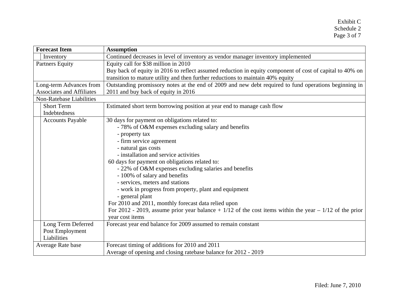| <b>Forecast Item</b>             | <b>Assumption</b>                                                                                                                                                                           |  |  |  |  |  |  |  |
|----------------------------------|---------------------------------------------------------------------------------------------------------------------------------------------------------------------------------------------|--|--|--|--|--|--|--|
| Inventory                        | Continued decreases in level of inventory as vendor manager inventory implemented                                                                                                           |  |  |  |  |  |  |  |
| <b>Partners Equity</b>           | Equity call for \$38 million in 2010                                                                                                                                                        |  |  |  |  |  |  |  |
|                                  | Buy back of equity in 2016 to reflect assumed reduction in equity component of cost of capital to 40% on<br>transition to mature utility and then further reductions to maintain 40% equity |  |  |  |  |  |  |  |
| Long-term Advances from          | Outstanding promissory notes at the end of 2009 and new debt required to fund operations beginning in                                                                                       |  |  |  |  |  |  |  |
| <b>Associates and Affiliates</b> | 2011 and buy back of equity in 2016                                                                                                                                                         |  |  |  |  |  |  |  |
| Non-Ratebase Liabilities         |                                                                                                                                                                                             |  |  |  |  |  |  |  |
| <b>Short Term</b>                | Estimated short term borrowing position at year end to manage cash flow                                                                                                                     |  |  |  |  |  |  |  |
| Indebtedness                     |                                                                                                                                                                                             |  |  |  |  |  |  |  |
| <b>Accounts Payable</b>          | 30 days for payment on obligations related to:                                                                                                                                              |  |  |  |  |  |  |  |
|                                  | - 78% of O&M expenses excluding salary and benefits                                                                                                                                         |  |  |  |  |  |  |  |
|                                  | - property tax                                                                                                                                                                              |  |  |  |  |  |  |  |
|                                  | - firm service agreement                                                                                                                                                                    |  |  |  |  |  |  |  |
|                                  | - natural gas costs                                                                                                                                                                         |  |  |  |  |  |  |  |
|                                  | - installation and service activities                                                                                                                                                       |  |  |  |  |  |  |  |
|                                  | 60 days for payment on obligations related to:                                                                                                                                              |  |  |  |  |  |  |  |
|                                  | - 22% of O&M expenses excluding salaries and benefits                                                                                                                                       |  |  |  |  |  |  |  |
|                                  | - 100% of salary and benefits                                                                                                                                                               |  |  |  |  |  |  |  |
|                                  | - services, meters and stations                                                                                                                                                             |  |  |  |  |  |  |  |
|                                  | - work in progress from property, plant and equipment                                                                                                                                       |  |  |  |  |  |  |  |
|                                  | - general plant                                                                                                                                                                             |  |  |  |  |  |  |  |
|                                  | For 2010 and 2011, monthly forecast data relied upon                                                                                                                                        |  |  |  |  |  |  |  |
|                                  | For 2012 - 2019, assume prior year balance + $1/12$ of the cost items within the year $-1/12$ of the prior                                                                                  |  |  |  |  |  |  |  |
|                                  | year cost items                                                                                                                                                                             |  |  |  |  |  |  |  |
| Long Term Deferred               | Forecast year end balance for 2009 assumed to remain constant                                                                                                                               |  |  |  |  |  |  |  |
| Post Employment                  |                                                                                                                                                                                             |  |  |  |  |  |  |  |
| Liabilities                      |                                                                                                                                                                                             |  |  |  |  |  |  |  |
| Average Rate base                | Forecast timing of additions for 2010 and 2011                                                                                                                                              |  |  |  |  |  |  |  |
|                                  | Average of opening and closing ratebase balance for 2012 - 2019                                                                                                                             |  |  |  |  |  |  |  |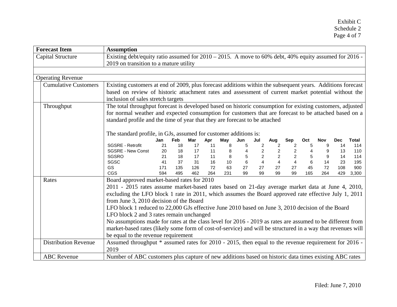| <b>Forecast Item</b>        | <b>Assumption</b>                                                                                           |     |     |     |     |     |                |                |                |                |                         |     |            |              |
|-----------------------------|-------------------------------------------------------------------------------------------------------------|-----|-----|-----|-----|-----|----------------|----------------|----------------|----------------|-------------------------|-----|------------|--------------|
| <b>Capital Structure</b>    | Existing debt/equity ratio assumed for 2010 – 2015. A move to 60% debt, 40% equity assumed for 2016 -       |     |     |     |     |     |                |                |                |                |                         |     |            |              |
|                             | 2019 on transition to a mature utility                                                                      |     |     |     |     |     |                |                |                |                |                         |     |            |              |
|                             |                                                                                                             |     |     |     |     |     |                |                |                |                |                         |     |            |              |
| <b>Operating Revenue</b>    |                                                                                                             |     |     |     |     |     |                |                |                |                |                         |     |            |              |
| <b>Cumulative Customers</b> | Existing customers at end of 2009, plus forecast additions within the subsequent years. Additions forecast  |     |     |     |     |     |                |                |                |                |                         |     |            |              |
|                             | based on review of historic attachment rates and assessment of current market potential without the         |     |     |     |     |     |                |                |                |                |                         |     |            |              |
|                             | inclusion of sales stretch targets                                                                          |     |     |     |     |     |                |                |                |                |                         |     |            |              |
| Throughput                  | The total throughput forecast is developed based on historic consumption for existing customers, adjusted   |     |     |     |     |     |                |                |                |                |                         |     |            |              |
|                             | for normal weather and expected consumption for customers that are forecast to be attached based on a       |     |     |     |     |     |                |                |                |                |                         |     |            |              |
|                             | standard profile and the time of year that they are forecast to be attached                                 |     |     |     |     |     |                |                |                |                |                         |     |            |              |
|                             |                                                                                                             |     |     |     |     |     |                |                |                |                |                         |     |            |              |
|                             | The standard profile, in GJs, assumed for customer additions is:                                            |     |     |     |     |     |                |                |                |                |                         |     |            |              |
|                             |                                                                                                             | Jan | Feb | Mar | Apr | May | Jun            | Jul            | Aug            | Sep            | Oct                     | Nov | <b>Dec</b> | <b>Total</b> |
|                             | <b>SGSRE - Retrofit</b>                                                                                     | 21  | 18  | 17  | 11  | 8   | 5              | 2              | 2              | $\overline{2}$ | 5                       | 9   | 14         | 114          |
|                             | <b>SGSRE - New Const</b>                                                                                    | 20  | 18  | 17  | 11  | 8   |                | $\overline{2}$ | $\overline{2}$ | $\overline{2}$ | $\overline{\mathbf{4}}$ | 9   | 13         | 110          |
|                             | SGSRO                                                                                                       | 21  | 18  | 17  | 11  | 8   |                | $\overline{2}$ | 2              | $\overline{2}$ |                         | 9   | 14         | 114          |
|                             | SGSC                                                                                                        | 41  | 37  | 31  | 16  | 10  | $6\phantom{1}$ | $\overline{4}$ | $\overline{4}$ | $\overline{4}$ |                         | 14  | 23         | 195          |
|                             | <b>GS</b>                                                                                                   | 171 | 135 | 126 | 72  | 63  | 27             | 27             | 27             | 27             | 45                      | 72  | 108        | 900          |
|                             | <b>CGS</b>                                                                                                  | 594 | 495 | 462 | 264 | 231 | 99             | 99             | 99             | 99             | 165                     | 264 | 429        | 3,300        |
| Rates                       | Board approved market-based rates for 2010                                                                  |     |     |     |     |     |                |                |                |                |                         |     |            |              |
|                             | 2011 - 2015 rates assume market-based rates based on 21-day average market data at June 4, 2010,            |     |     |     |     |     |                |                |                |                |                         |     |            |              |
|                             | excluding the LFO block 1 rate in 2011, which assumes the Board approved rate effective July 1, 2011        |     |     |     |     |     |                |                |                |                |                         |     |            |              |
|                             | from June 3, 2010 decision of the Board                                                                     |     |     |     |     |     |                |                |                |                |                         |     |            |              |
|                             | LFO block 1 reduced to 22,000 GJs effective June 2010 based on June 3, 2010 decision of the Board           |     |     |     |     |     |                |                |                |                |                         |     |            |              |
|                             | LFO block 2 and 3 rates remain unchanged                                                                    |     |     |     |     |     |                |                |                |                |                         |     |            |              |
|                             | No assumptions made for rates at the class level for 2016 - 2019 as rates are assumed to be different from  |     |     |     |     |     |                |                |                |                |                         |     |            |              |
|                             | market-based rates (likely some form of cost-of-service) and will be structured in a way that revenues will |     |     |     |     |     |                |                |                |                |                         |     |            |              |
|                             | be equal to the revenue requirement                                                                         |     |     |     |     |     |                |                |                |                |                         |     |            |              |
| <b>Distribution Revenue</b> | Assumed throughput * assumed rates for 2010 - 2015, then equal to the revenue requirement for 2016 -        |     |     |     |     |     |                |                |                |                |                         |     |            |              |
|                             | 2019                                                                                                        |     |     |     |     |     |                |                |                |                |                         |     |            |              |
| <b>ABC</b> Revenue          | Number of ABC customers plus capture of new additions based on historic data times existing ABC rates       |     |     |     |     |     |                |                |                |                |                         |     |            |              |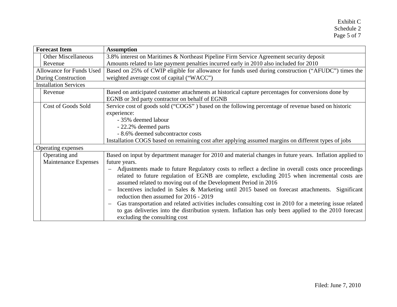| <b>Forecast Item</b>                  |                                                                                                     | <b>Assumption</b>                                                                                                                                                                                                                                                                                                                                                                                                                                                                                                                                                                                                                                                                                                                                                                                  |  |  |  |  |  |  |  |  |
|---------------------------------------|-----------------------------------------------------------------------------------------------------|----------------------------------------------------------------------------------------------------------------------------------------------------------------------------------------------------------------------------------------------------------------------------------------------------------------------------------------------------------------------------------------------------------------------------------------------------------------------------------------------------------------------------------------------------------------------------------------------------------------------------------------------------------------------------------------------------------------------------------------------------------------------------------------------------|--|--|--|--|--|--|--|--|
| <b>Other Miscellaneous</b>            |                                                                                                     | 3.8% interest on Maritimes & Northeast Pipeline Firm Service Agreement security deposit                                                                                                                                                                                                                                                                                                                                                                                                                                                                                                                                                                                                                                                                                                            |  |  |  |  |  |  |  |  |
| Revenue                               |                                                                                                     | Amounts related to late payment penalties incurred early in 2010 also included for 2010                                                                                                                                                                                                                                                                                                                                                                                                                                                                                                                                                                                                                                                                                                            |  |  |  |  |  |  |  |  |
| Allowance for Funds Used              |                                                                                                     | Based on 25% of CWIP eligible for allowance for funds used during construction ("AFUDC") times the                                                                                                                                                                                                                                                                                                                                                                                                                                                                                                                                                                                                                                                                                                 |  |  |  |  |  |  |  |  |
| During Construction                   | weighted average cost of capital ("WACC")                                                           |                                                                                                                                                                                                                                                                                                                                                                                                                                                                                                                                                                                                                                                                                                                                                                                                    |  |  |  |  |  |  |  |  |
| <b>Installation Services</b>          |                                                                                                     |                                                                                                                                                                                                                                                                                                                                                                                                                                                                                                                                                                                                                                                                                                                                                                                                    |  |  |  |  |  |  |  |  |
| Revenue                               |                                                                                                     | Based on anticipated customer attachments at historical capture percentages for conversions done by<br>EGNB or 3rd party contractor on behalf of EGNB                                                                                                                                                                                                                                                                                                                                                                                                                                                                                                                                                                                                                                              |  |  |  |  |  |  |  |  |
| Cost of Goods Sold                    |                                                                                                     | Service cost of goods sold ("COGS") based on the following percentage of revenue based on historic<br>experience:<br>- 35% deemed labour<br>- 22.2% deemed parts<br>- 8.6% deemed subcontractor costs                                                                                                                                                                                                                                                                                                                                                                                                                                                                                                                                                                                              |  |  |  |  |  |  |  |  |
|                                       | Installation COGS based on remaining cost after applying assumed margins on different types of jobs |                                                                                                                                                                                                                                                                                                                                                                                                                                                                                                                                                                                                                                                                                                                                                                                                    |  |  |  |  |  |  |  |  |
| Operating expenses                    |                                                                                                     |                                                                                                                                                                                                                                                                                                                                                                                                                                                                                                                                                                                                                                                                                                                                                                                                    |  |  |  |  |  |  |  |  |
| Operating and<br>Maintenance Expenses |                                                                                                     | Based on input by department manager for 2010 and material changes in future years. Inflation applied to<br>future years.<br>Adjustments made to future Regulatory costs to reflect a decline in overall costs once proceedings<br>related to future regulation of EGNB are complete, excluding 2015 when incremental costs are<br>assumed related to moving out of the Development Period in 2016<br>Incentives included in Sales & Marketing until 2015 based on forecast attachments. Significant<br>reduction then assumed for 2016 - 2019<br>Gas transportation and related activities includes consulting cost in 2010 for a metering issue related<br>to gas deliveries into the distribution system. Inflation has only been applied to the 2010 forecast<br>excluding the consulting cost |  |  |  |  |  |  |  |  |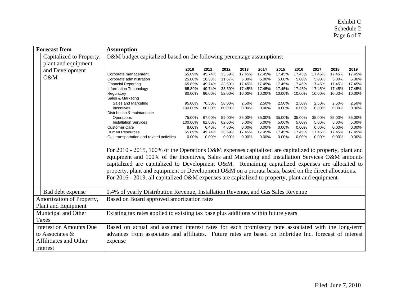| <b>Forecast Item</b>           | <b>Assumption</b>                                                                                                                                                                                                                                                                                                                                                                                                                                                                                                        |         |        |        |        |          |        |        |        |        |        |
|--------------------------------|--------------------------------------------------------------------------------------------------------------------------------------------------------------------------------------------------------------------------------------------------------------------------------------------------------------------------------------------------------------------------------------------------------------------------------------------------------------------------------------------------------------------------|---------|--------|--------|--------|----------|--------|--------|--------|--------|--------|
| Capitalized to Property,       | O&M budget capitalized based on the following percentage assumptions:                                                                                                                                                                                                                                                                                                                                                                                                                                                    |         |        |        |        |          |        |        |        |        |        |
| plant and equipment            |                                                                                                                                                                                                                                                                                                                                                                                                                                                                                                                          |         |        |        |        |          |        |        |        |        |        |
| and Development                |                                                                                                                                                                                                                                                                                                                                                                                                                                                                                                                          | 2010    | 2011   | 2012   | 2013   | 2014     | 2015   | 2016   | 2017   | 2018   | 2019   |
| O&M                            | Corporate management                                                                                                                                                                                                                                                                                                                                                                                                                                                                                                     | 65.89%  | 49.74% | 33.59% | 17.45% | 17.45%   | 17.45% | 17.45% | 17.45% | 17.45% | 17.45% |
|                                | Corporate administration                                                                                                                                                                                                                                                                                                                                                                                                                                                                                                 | 25.00%  | 18.33% | 11.67% | 5.00%  | 5.00%    | 5.00%  | 5.00%  | 5.00%  | 5.00%  | 5.00%  |
|                                | <b>Financial Reporting</b>                                                                                                                                                                                                                                                                                                                                                                                                                                                                                               | 65.89%  | 49.74% | 33.59% | 17.45% | 17.45%   | 17.45% | 17.45% | 17.45% | 17.45% | 17.45% |
|                                | Information Technology                                                                                                                                                                                                                                                                                                                                                                                                                                                                                                   | 65.89%  | 49.74% | 33.59% | 17.45% | 17.45%   | 17.45% | 17.45% | 17.45% | 17.45% | 17.45% |
|                                | Regulatory                                                                                                                                                                                                                                                                                                                                                                                                                                                                                                               | 80.00%  | 66.00% | 52.00% | 10.00% | 10.00%   | 10.00% | 10.00% | 10.00% | 10.00% | 10.00% |
|                                | Sales & Marketing<br>Sales and Marketing                                                                                                                                                                                                                                                                                                                                                                                                                                                                                 | 95.00%  | 76.50% | 58.00% | 2.50%  | 2.50%    | 2.50%  | 2.50%  | 2.50%  | 2.50%  | 2.50%  |
|                                | <b>Incentives</b>                                                                                                                                                                                                                                                                                                                                                                                                                                                                                                        | 100.00% | 80.00% | 60.00% | 0.00%  | $0.00\%$ | 0.00%  | 0.00%  | 0.00%  | 0.00%  | 0.00%  |
|                                | Distribution & maintanance                                                                                                                                                                                                                                                                                                                                                                                                                                                                                               |         |        |        |        |          |        |        |        |        |        |
|                                | Operations                                                                                                                                                                                                                                                                                                                                                                                                                                                                                                               | 75.00%  | 67.00% | 59.00% | 35.00% | 35.00%   | 35.00% | 35.00% | 35.00% | 35.00% | 35.00% |
|                                | <b>Installation Services</b>                                                                                                                                                                                                                                                                                                                                                                                                                                                                                             | 100.00% | 81.00% | 62.00% | 5.00%  | 5.00%    | 5.00%  | 5.00%  | 5.00%  | 5.00%  | 5.00%  |
|                                | <b>Customer Care</b>                                                                                                                                                                                                                                                                                                                                                                                                                                                                                                     | 8.00%   | 6.40%  | 4.80%  | 0.00%  | 0.00%    | 0.00%  | 0.00%  | 0.00%  | 0.00%  | 0.00%  |
|                                | Human Resources                                                                                                                                                                                                                                                                                                                                                                                                                                                                                                          | 65.89%  | 49.74% | 33.59% | 17.45% | 17.45%   | 17.45% | 17.45% | 17.45% | 17.45% | 17.45% |
|                                | Gas transportation and related activities                                                                                                                                                                                                                                                                                                                                                                                                                                                                                | 0.00%   | 0.00%  | 0.00%  | 0.00%  | 0.00%    | 0.00%  | 0.00%  | 0.00%  | 0.00%  | 0.00%  |
|                                | For 2010 - 2015, 100% of the Operations O&M expenses capitalized are capitalized to property, plant and<br>equipment and 100% of the Incentives, Sales and Marketing and Installation Services O&M amounts<br>capitalized are capitalized to Development O&M. Remaining capitalized expenses are allocated to<br>property, plant and equipment or Development O&M on a prorata basis, based on the direct allocations.<br>For 2016 - 2019, all capitalized O&M expenses are capitalized to property, plant and equipment |         |        |        |        |          |        |        |        |        |        |
| Bad debt expense               | 0.4% of yearly Distribution Revenue, Installation Revenue, and Gas Sales Revenue                                                                                                                                                                                                                                                                                                                                                                                                                                         |         |        |        |        |          |        |        |        |        |        |
| Amortization of Property,      | Based on Board approved amortization rates                                                                                                                                                                                                                                                                                                                                                                                                                                                                               |         |        |        |        |          |        |        |        |        |        |
| Plant and Equipment            |                                                                                                                                                                                                                                                                                                                                                                                                                                                                                                                          |         |        |        |        |          |        |        |        |        |        |
| Municipal and Other            | Existing tax rates applied to existing tax base plus additions within future years                                                                                                                                                                                                                                                                                                                                                                                                                                       |         |        |        |        |          |        |        |        |        |        |
| <b>Taxes</b>                   |                                                                                                                                                                                                                                                                                                                                                                                                                                                                                                                          |         |        |        |        |          |        |        |        |        |        |
| <b>Interest on Amounts Due</b> | Based on actual and assumed interest rates for each promissory note associated with the long-term                                                                                                                                                                                                                                                                                                                                                                                                                        |         |        |        |        |          |        |        |        |        |        |
| to Associates &                | advances from associates and affiliates. Future rates are based on Enbridge Inc. forecast of interest                                                                                                                                                                                                                                                                                                                                                                                                                    |         |        |        |        |          |        |        |        |        |        |
| Affilitiates and Other         | expense                                                                                                                                                                                                                                                                                                                                                                                                                                                                                                                  |         |        |        |        |          |        |        |        |        |        |
| Interest                       |                                                                                                                                                                                                                                                                                                                                                                                                                                                                                                                          |         |        |        |        |          |        |        |        |        |        |